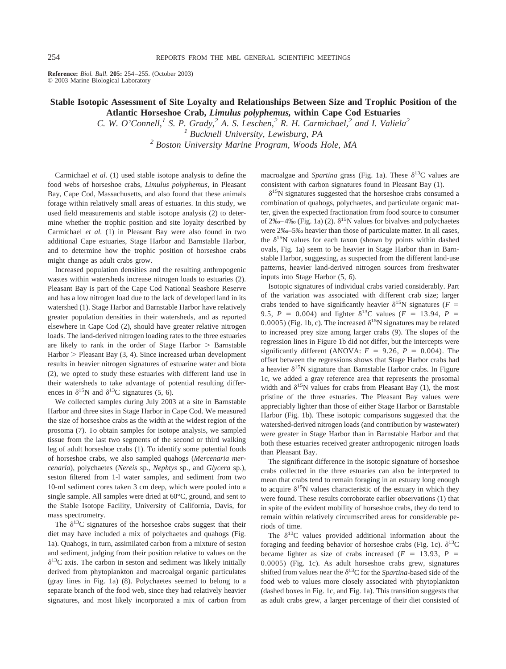**Reference:** *Biol. Bull.* **205:** 254–255. (October 2003) © 2003 Marine Biological Laboratory

## **Stable Isotopic Assessment of Site Loyalty and Relationships Between Size and Trophic Position of the Atlantic Horseshoe Crab,** *Limulus polyphemus,* **within Cape Cod Estuaries**

*C. W. O'Connell,<sup>1</sup> S. P. Grady,<sup>2</sup> A. S. Leschen,<sup>2</sup> R. H. Carmichael,<sup>2</sup> and I. Valiela<sup>2</sup> <sup>1</sup> Bucknell University, Lewisburg, PA*

*<sup>2</sup> Boston University Marine Program, Woods Hole, MA*

Carmichael *et al.* (1) used stable isotope analysis to define the food webs of horseshoe crabs, *Limulus polyphemus,* in Pleasant Bay, Cape Cod, Massachusetts, and also found that these animals forage within relatively small areas of estuaries. In this study, we used field measurements and stable isotope analysis (2) to determine whether the trophic position and site loyalty described by Carmichael *et al.* (1) in Pleasant Bay were also found in two additional Cape estuaries, Stage Harbor and Barnstable Harbor, and to determine how the trophic position of horseshoe crabs might change as adult crabs grow.

Increased population densities and the resulting anthropogenic wastes within watersheds increase nitrogen loads to estuaries (2). Pleasant Bay is part of the Cape Cod National Seashore Reserve and has a low nitrogen load due to the lack of developed land in its watershed (1). Stage Harbor and Barnstable Harbor have relatively greater population densities in their watersheds, and as reported elsewhere in Cape Cod (2), should have greater relative nitrogen loads. The land-derived nitrogen loading rates to the three estuaries are likely to rank in the order of Stage Harbor  $>$  Barnstable  $Harbor$  > Pleasant Bay (3, 4). Since increased urban development results in heavier nitrogen signatures of estuarine water and biota (2), we opted to study these estuaries with different land use in their watersheds to take advantage of potential resulting differences in  $\delta^{15}N$  and  $\delta^{13}C$  signatures (5, 6).

We collected samples during July 2003 at a site in Barnstable Harbor and three sites in Stage Harbor in Cape Cod. We measured the size of horseshoe crabs as the width at the widest region of the prosoma (7). To obtain samples for isotope analysis, we sampled tissue from the last two segments of the second or third walking leg of adult horseshoe crabs (1). To identify some potential foods of horseshoe crabs, we also sampled quahogs (*Mercenaria mercenaria*), polychaetes (*Nereis* sp., *Nephtys* sp., and *Glycera* sp.), seston filtered from 1-l water samples, and sediment from two 10-ml sediment cores taken 3 cm deep, which were pooled into a single sample. All samples were dried at 60°C, ground, and sent to the Stable Isotope Facility, University of California, Davis, for mass spectrometry.

The  $\delta^{13}$ C signatures of the horseshoe crabs suggest that their diet may have included a mix of polychaetes and quahogs (Fig. 1a). Quahogs, in turn, assimilated carbon from a mixture of seston and sediment, judging from their position relative to values on the  $\delta^{13}$ C axis. The carbon in seston and sediment was likely initially derived from phytoplankton and macroalgal organic particulates (gray lines in Fig. 1a) (8). Polychaetes seemed to belong to a separate branch of the food web, since they had relatively heavier signatures, and most likely incorporated a mix of carbon from macroalgae and *Spartina* grass (Fig. 1a). These  $\delta^{13}$ C values are consistent with carbon signatures found in Pleasant Bay (1).

 $\delta^{15}$ N signatures suggested that the horseshoe crabs consumed a combination of quahogs, polychaetes, and particulate organic matter, given the expected fractionation from food source to consumer of 2‰–4‰ (Fig. 1a) (2).  $\delta^{15}N$  values for bivalves and polychaetes were 2‰–5‰ heavier than those of particulate matter. In all cases, the  $\delta^{15}N$  values for each taxon (shown by points within dashed ovals, Fig. 1a) seem to be heavier in Stage Harbor than in Barnstable Harbor, suggesting, as suspected from the different land-use patterns, heavier land-derived nitrogen sources from freshwater inputs into Stage Harbor (5, 6).

Isotopic signatures of individual crabs varied considerably. Part of the variation was associated with different crab size; larger crabs tended to have significantly heavier  $\delta^{15}N$  signatures ( $F =$ 9.5,  $P = 0.004$ ) and lighter  $\delta^{13}$ C values ( $F = 13.94$ ,  $P =$ 0.0005) (Fig. 1b, c). The increased  $\delta^{15}N$  signatures may be related to increased prey size among larger crabs (9). The slopes of the regression lines in Figure 1b did not differ, but the intercepts were significantly different (ANOVA:  $F = 9.26$ ,  $P = 0.004$ ). The offset between the regressions shows that Stage Harbor crabs had a heavier  $\delta^{15}N$  signature than Barnstable Harbor crabs. In Figure 1c, we added a gray reference area that represents the prosomal width and  $\delta^{15}N$  values for crabs from Pleasant Bay (1), the most pristine of the three estuaries. The Pleasant Bay values were appreciably lighter than those of either Stage Harbor or Barnstable Harbor (Fig. 1b). These isotopic comparisons suggested that the watershed-derived nitrogen loads (and contribution by wastewater) were greater in Stage Harbor than in Barnstable Harbor and that both these estuaries received greater anthropogenic nitrogen loads than Pleasant Bay.

The significant difference in the isotopic signature of horseshoe crabs collected in the three estuaries can also be interpreted to mean that crabs tend to remain foraging in an estuary long enough to acquire  $\delta^{15}N$  values characteristic of the estuary in which they were found. These results corroborate earlier observations (1) that in spite of the evident mobility of horseshoe crabs, they do tend to remain within relatively circumscribed areas for considerable periods of time.

The  $\delta^{13}$ C values provided additional information about the foraging and feeding behavior of horseshoe crabs (Fig. 1c).  $\delta^{13}C$ became lighter as size of crabs increased  $(F = 13.93, P =$ 0.0005) (Fig. 1c). As adult horseshoe crabs grew, signatures shifted from values near the  $\delta^{13}$ C for the *Spartina*-based side of the food web to values more closely associated with phytoplankton (dashed boxes in Fig. 1c, and Fig. 1a). This transition suggests that as adult crabs grew, a larger percentage of their diet consisted of